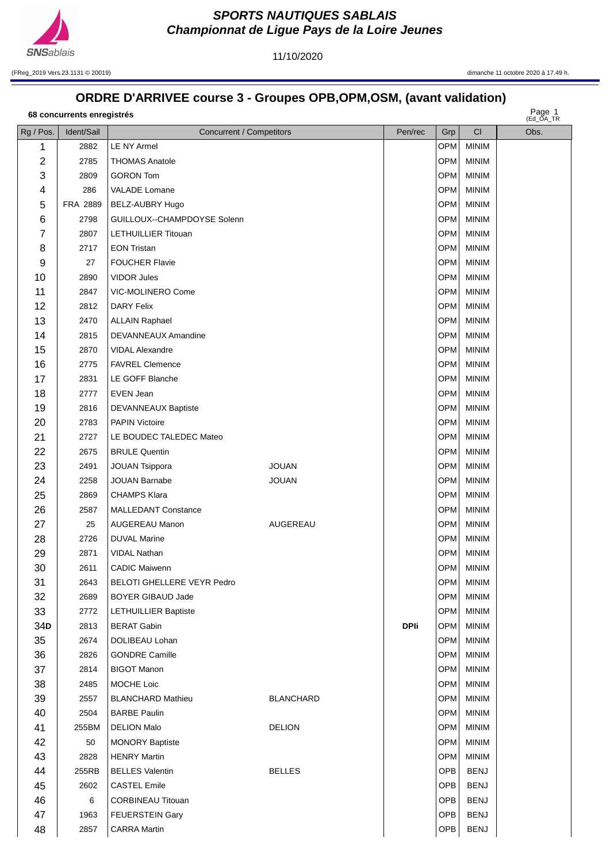

11/10/2020

(FReg\_2019 Vers.23.1131 © 20019) dimanche 11 octobre 2020 à 17.49 h.

## **ORDRE D'ARRIVEE course 3 - Groupes OPB,OPM,OSM, (avant validation)**

| 68 concurrents enregistrés | Page 1       |  |
|----------------------------|--------------|--|
|                            | $(FA \cap A$ |  |

Page 1

| Rg / Pos.      | Ident/Sail | Concurrent / Competitors    |                  | Pen/rec     | Grp              | <b>CI</b>    | (EU_UA_IR<br>Obs. |
|----------------|------------|-----------------------------|------------------|-------------|------------------|--------------|-------------------|
| 1              | 2882       | <b>LE NY Armel</b>          |                  |             | OPM              | <b>MINIM</b> |                   |
| $\overline{c}$ | 2785       | <b>THOMAS Anatole</b>       |                  |             | OPM              | <b>MINIM</b> |                   |
| 3              | 2809       | <b>GORON Tom</b>            |                  |             | OPM              | <b>MINIM</b> |                   |
| 4              | 286        | VALADE Lomane               |                  |             | OPM              | <b>MINIM</b> |                   |
| 5              | FRA 2889   | BELZ-AUBRY Hugo             |                  |             | OPM              | <b>MINIM</b> |                   |
| 6              | 2798       | GUILLOUX--CHAMPDOYSE Solenn |                  |             | OPM              | <b>MINIM</b> |                   |
| 7              | 2807       | LETHUILLIER Titouan         |                  |             | OPM              | <b>MINIM</b> |                   |
| 8              | 2717       | <b>EON Tristan</b>          |                  |             | OPM              | <b>MINIM</b> |                   |
| 9              | 27         | <b>FOUCHER Flavie</b>       |                  |             | OPM              | <b>MINIM</b> |                   |
| 10             | 2890       | <b>VIDOR Jules</b>          |                  |             | OPM              | <b>MINIM</b> |                   |
| 11             | 2847       | VIC-MOLINERO Come           |                  |             | OPM              | <b>MINIM</b> |                   |
| 12             | 2812       | <b>DARY Felix</b>           |                  |             | OPM              | <b>MINIM</b> |                   |
| 13             | 2470       | <b>ALLAIN Raphael</b>       |                  |             | OPM              | <b>MINIM</b> |                   |
| 14             | 2815       | DEVANNEAUX Amandine         |                  |             | OPM              | <b>MINIM</b> |                   |
| 15             | 2870       | <b>VIDAL Alexandre</b>      |                  |             | OPM              | <b>MINIM</b> |                   |
| 16             | 2775       | <b>FAVREL Clemence</b>      |                  |             | OPM              | <b>MINIM</b> |                   |
| 17             | 2831       | LE GOFF Blanche             |                  |             | OPM              | <b>MINIM</b> |                   |
| 18             | 2777       | EVEN Jean                   |                  |             | OPM              | <b>MINIM</b> |                   |
| 19             | 2816       | DEVANNEAUX Baptiste         |                  |             | OPM              | <b>MINIM</b> |                   |
| 20             | 2783       | <b>PAPIN Victoire</b>       |                  |             | OPM              | <b>MINIM</b> |                   |
| 21             | 2727       | LE BOUDEC TALEDEC Mateo     |                  |             | OPM              | <b>MINIM</b> |                   |
| 22             | 2675       | <b>BRULE Quentin</b>        |                  |             | OPM              | <b>MINIM</b> |                   |
| 23             | 2491       | <b>JOUAN Tsippora</b>       | <b>JOUAN</b>     |             | OPM              | <b>MINIM</b> |                   |
| 24             | 2258       | <b>JOUAN Barnabe</b>        | <b>JOUAN</b>     |             | OPM              | <b>MINIM</b> |                   |
| 25             | 2869       | <b>CHAMPS Klara</b>         |                  |             | OPM              | <b>MINIM</b> |                   |
| 26             | 2587       | <b>MALLEDANT Constance</b>  |                  |             | OPM              | <b>MINIM</b> |                   |
| 27             | 25         | AUGEREAU Manon              | AUGEREAU         |             | OPM              | <b>MINIM</b> |                   |
| 28             | 2726       | <b>DUVAL Marine</b>         |                  |             | OPM              | <b>MINIM</b> |                   |
| 29             | 2871       | <b>VIDAL Nathan</b>         |                  |             | OPM              | <b>MINIM</b> |                   |
| 30             | 2611       | <b>CADIC Maiwenn</b>        |                  |             | OPM              | <b>MINIM</b> |                   |
| 31             | 2643       | BELOTI GHELLERE VEYR Pedro  |                  |             | OPM              | <b>MINIM</b> |                   |
| 32             | 2689       | <b>BOYER GIBAUD Jade</b>    |                  |             | OPM              | <b>MINIM</b> |                   |
| 33             | 2772       | <b>LETHUILLIER Baptiste</b> |                  |             | OPM              | MINIM        |                   |
| 34D            | 2813       | <b>BERAT Gabin</b>          |                  | <b>DPIi</b> | OPM              | <b>MINIM</b> |                   |
| 35             | 2674       | DOLIBEAU Lohan              |                  |             | OPM              | <b>MINIM</b> |                   |
| 36             | 2826       | <b>GONDRE Camille</b>       |                  |             | OPM              | <b>MINIM</b> |                   |
| 37             | 2814       | <b>BIGOT Manon</b>          |                  |             | OPM              | <b>MINIM</b> |                   |
| 38             | 2485       | MOCHE Loic                  |                  |             | OPM              | <b>MINIM</b> |                   |
| 39             | 2557       | <b>BLANCHARD Mathieu</b>    | <b>BLANCHARD</b> |             | OPM <sup>I</sup> | <b>MINIM</b> |                   |
| 40             | 2504       | <b>BARBE Paulin</b>         |                  |             | OPM              | <b>MINIM</b> |                   |
| 41             | 255BM      | <b>DELION Malo</b>          | <b>DELION</b>    |             | OPM              | <b>MINIM</b> |                   |
| 42             | 50         | <b>MONORY Baptiste</b>      |                  |             | OPM              | <b>MINIM</b> |                   |
| 43             | 2828       | <b>HENRY Martin</b>         |                  |             | OPM              | <b>MINIM</b> |                   |
| 44             | 255RB      | <b>BELLES Valentin</b>      | <b>BELLES</b>    |             | <b>OPB</b>       | <b>BENJ</b>  |                   |
| 45             | 2602       | <b>CASTEL Emile</b>         |                  |             | <b>OPB</b>       | <b>BENJ</b>  |                   |
| 46             | 6          | <b>CORBINEAU Titouan</b>    |                  |             | OPB              | <b>BENJ</b>  |                   |
| 47             | 1963       | <b>FEUERSTEIN Gary</b>      |                  |             | OPB              | <b>BENJ</b>  |                   |
| 48             | 2857       | <b>CARRA Martin</b>         |                  |             | OPB              | <b>BENJ</b>  |                   |